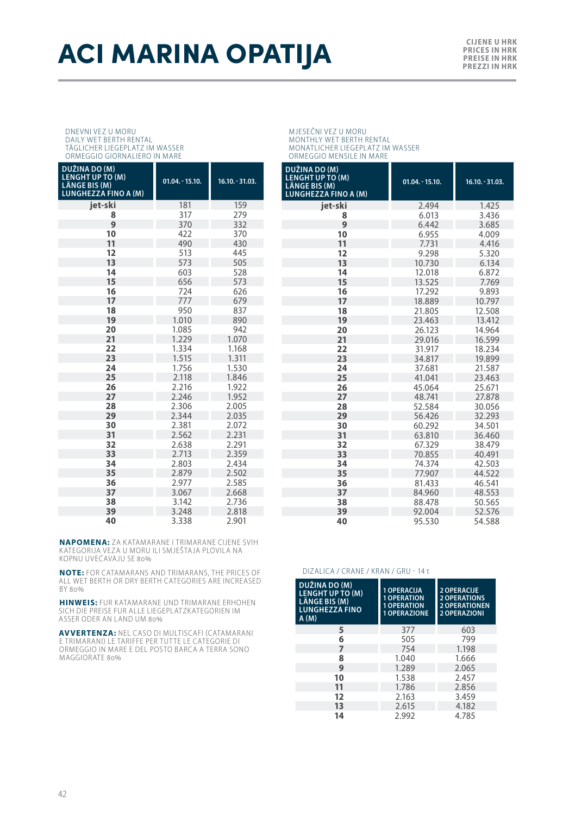## **ACI MARINA OPATIJA**

**PRICES IN HRK PREISE IN HRK PREZZI IN HRK**

## DNEVNI VEZ U MORU DAILY WET BERTH RENTAL TÄGLICHER LIEGEPLATZ IM WASSER

ORMEGGIO GIORNALIERO IN MARE

| DUŽINA DO (M)<br><b>LENGHT UP TO (M)</b><br>LÄNGE BIS (M)<br><b>LUNGHEZZA FINO A (M)</b> | $01.04 - 15.10.$ | $16.10 - 31.03$ . |
|------------------------------------------------------------------------------------------|------------------|-------------------|
| iet-ski                                                                                  | 181              | 159               |
| 8                                                                                        | 317              | 279               |
| 9                                                                                        | 370              | 332               |
| 10                                                                                       | 422              | 370               |
| 11                                                                                       | 490              | 430               |
| 12                                                                                       | 513              | 445               |
| 13                                                                                       | 573              | 505               |
| 14                                                                                       | 603              | 528               |
| 15                                                                                       | 656              | 573               |
| 16                                                                                       | 724              | 626               |
| 17                                                                                       | 777              | 679               |
| 18                                                                                       | 950              | 837               |
| 19                                                                                       | 1.010            | 890               |
| 20                                                                                       | 1.085            | 942               |
| 21                                                                                       | 1.229            | 1.070             |
| 22                                                                                       | 1.334            | 1.168             |
| 23                                                                                       | 1.515            | 1.311             |
| 24                                                                                       | 1.756            | 1.530             |
| 25                                                                                       | 2.118            | 1.846             |
| 26                                                                                       | 2.216            | 1.922             |
| 27                                                                                       | 2.246            | 1.952             |
| 28                                                                                       | 2.306            | 2.005             |
| 29                                                                                       | 2.344            | 2.035             |
| 30                                                                                       | 2.381            | 2.072             |
| 31                                                                                       | 2.562            | 2.231             |
| 32                                                                                       | 2.638            | 2.291             |
| 33                                                                                       | 2.713            | 2.359             |
| 34                                                                                       | 2.803            | 2.434             |
| 35                                                                                       | 2.879            | 2.502             |
| 36                                                                                       | 2.977            | 2.585             |
| 37                                                                                       | 3.067            | 2.668             |
| 38                                                                                       | 3.142            | 2.736             |
| 39                                                                                       | 3.248            | 2.818             |
| 40                                                                                       | 3.338            | 2.901             |

**NAPOMENA:** ZA KATAMARANE I TRIMARANE CIJENE SVIH KATEGORIJA VEZA U MORU ILI SMJEŠTAJA PLOVILA NA KOPNU UVEĆAVAJU SE 80%

**NOTE:** FOR CATAMARANS AND TRIMARANS, THE PRICES OF ALL WET BERTH OR DRY BERTH CATEGORIES ARE INCREASED BY 80%

**HINWEIS:** FUR KATAMARANE UND TRIMARANE ERHOHEN SICH DIE PREISE FUR ALLE LIEGEPLATZKATEGORIEN IM ASSER ODER AN LAND UM 80%

**AVVERTENZA:** NEL CASO DI MULTISCAFI (CATAMARANI E TRIMARANI) LE TARIFFE PER TUTTE LE CATEGORIE DI<br>ORMEGGIO IN MARE E DEL POSTO BARCA A TERRA SONO MAGGIORATE 80%

MJESEČNI VEZ U MORU MONTHLY WET BERTH RENTAL MONATLICHER LIEGEPLATZ IM WASSER ORMEGGIO MENSILE IN MARE

| DUŽINA DO (M)<br><b>LENGHT UP TO (M)</b><br><b>LÄNGE BIS (M)</b><br><b>LUNGHEZZA FINO A (M)</b> | $01.04 - 15.10.$ | 16.10. - 31.03. |
|-------------------------------------------------------------------------------------------------|------------------|-----------------|
| iet-ski                                                                                         | 2.494            | 1.425           |
| 8                                                                                               | 6.013            | 3.436           |
| 9                                                                                               | 6.442            | 3.685           |
| 10                                                                                              | 6.955            | 4.009           |
| 11                                                                                              | 7.731            | 4.416           |
| 12                                                                                              | 9.298            | 5.320           |
| 13                                                                                              | 10.730           | 6.134           |
| 14                                                                                              | 12.018           | 6.872           |
| 15                                                                                              | 13.525           | 7.769           |
| 16                                                                                              | 17.292           | 9.893           |
| 17                                                                                              | 18.889           | 10.797          |
| 18                                                                                              | 21.805           | 12.508          |
| 19                                                                                              | 23.463           | 13.412          |
| 20                                                                                              | 26.123           | 14.964          |
| 21                                                                                              | 29.016           | 16.599          |
| 22                                                                                              | 31.917           | 18.234          |
| 23                                                                                              | 34.817           | 19.899          |
| 24                                                                                              | 37.681           | 21.587          |
| 25                                                                                              | 41.041           | 23.463          |
| 26                                                                                              | 45.064           | 25.671          |
| 27                                                                                              | 48.741           | 27.878          |
| 28                                                                                              | 52.584           | 30.056          |
| 29                                                                                              | 56.426           | 32.293          |
| 30                                                                                              | 60.292           | 34.501          |
| 31                                                                                              | 63.810           | 36.460          |
| 32                                                                                              | 67.329           | 38.479          |
| 33                                                                                              | 70.855           | 40.491          |
| 34                                                                                              | 74.374           | 42.503          |
| 35                                                                                              | 77.907           | 44.522          |
| 36                                                                                              | 81.433           | 46.541          |
| 37                                                                                              | 84.960           | 48.553          |
| 38                                                                                              | 88.478           | 50.565          |
| 39                                                                                              | 92.004           | 52.576          |
| 40                                                                                              | 95.530           | 54.588          |

## DIZALICA / CRANE / KRAN / GRU - 14 t

| DUŽINA DO (M)<br><b>LENGHT UP TO (M)</b><br>LÄNGE BIS (M)<br><b>LUNGHEZZA FINO</b><br>A(M) | 1 OPERACIJA<br><b>1 OPERATION</b><br><b>1 OPERATION</b><br>1 OPERAZIONE | 2 OPERACUE<br><b>2 OPERATIONS</b><br><b>2 OPERATIONEN</b><br><b>2 OPERAZIONI</b> |
|--------------------------------------------------------------------------------------------|-------------------------------------------------------------------------|----------------------------------------------------------------------------------|
| 5                                                                                          | 377                                                                     | 603                                                                              |
| 6                                                                                          | 505                                                                     | 799                                                                              |
| 7                                                                                          | 754                                                                     | 1.198                                                                            |
| 8                                                                                          | 1.040                                                                   | 1.666                                                                            |
| 9                                                                                          | 1.289                                                                   | 2.065                                                                            |
| 10                                                                                         | 1.538                                                                   | 2.457                                                                            |
| 11                                                                                         | 1.786                                                                   | 2.856                                                                            |
| 12                                                                                         | 2.163                                                                   | 3.459                                                                            |
| 13                                                                                         | 2.615                                                                   | 4.182                                                                            |
| 14                                                                                         | 2.992                                                                   | 4.785                                                                            |